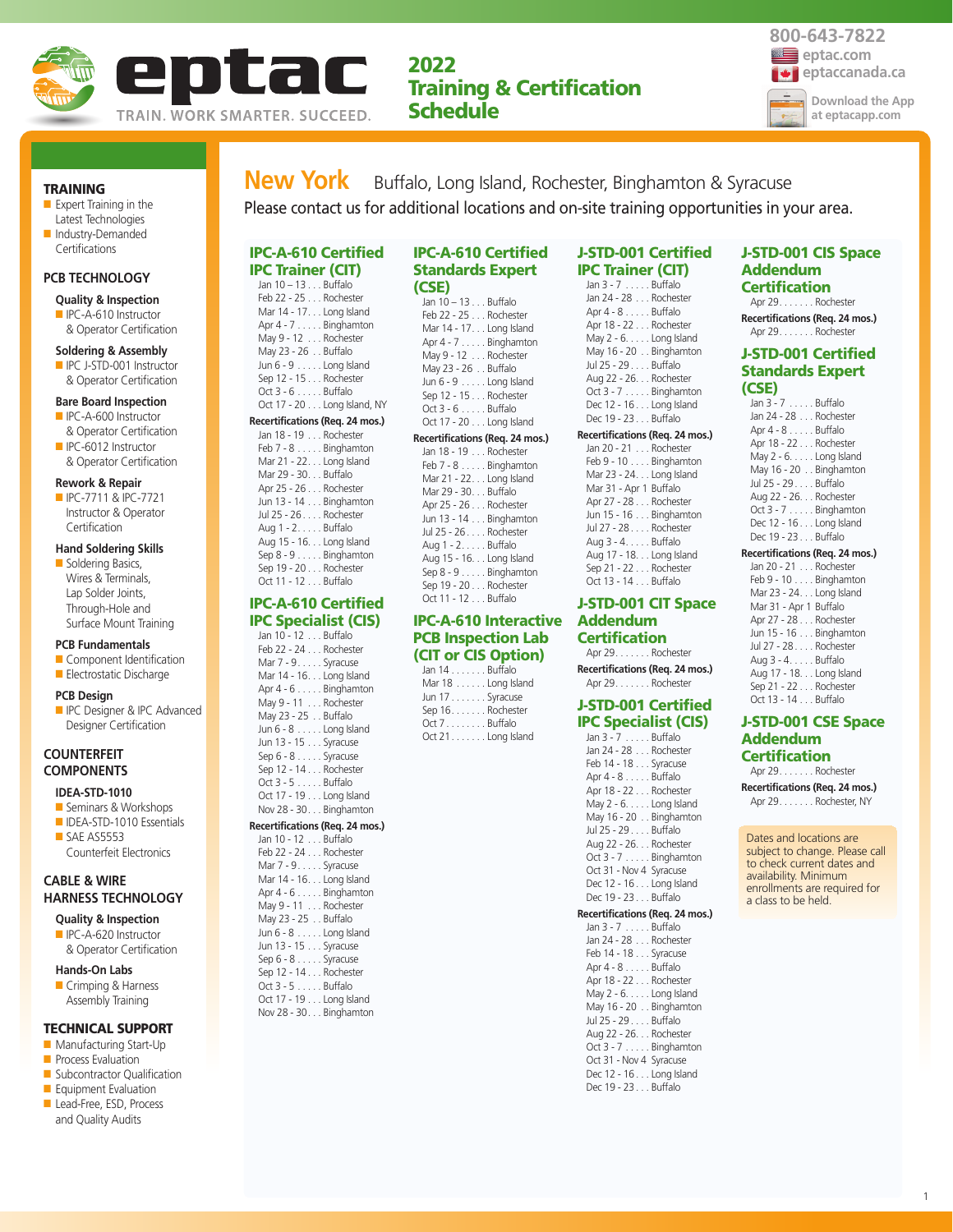

# **2022 Training & Certification Schedule**



#### **TRAINING**

■ Expert Training in the Latest Technologies ■ Industry-Demanded **Certifications** 

#### **PCB TECHNOLOGY**

# **Quality & Inspection**

■ IPC-A-610 Instructor & Operator Certification

### **Soldering & Assembly**

■ IPC J-STD-001 Instructor & Operator Certification

#### **Bare Board Inspection**

- IPC-A-600 Instructor & Operator Certification
- IPC-6012 Instructor & Operator Certification

#### **Rework & Repair**

■ IPC-7711 & IPC-7721 Instructor & Operator **Certification** 

# **Hand Soldering Skills**

■ Soldering Basics, Wires & Terminals, Lap Solder Joints, Through-Hole and Surface Mount Training

#### **PCB Fundamentals**

- Component Identification
- Electrostatic Discharge

#### **PCB Design**

**ID** IPC Designer & IPC Advanced Designer Certification

## **COUNTERFEIT COMPONENTS**

## **IDEA-STD-1010**

- Seminars & Workshops ■ IDEA-STD-1010 Essentials
- SAE AS5553 Counterfeit Electronics

## **CABLE & WIRE HARNESS TECHNOLOGY**

**Quality & Inspection** ■ IPC-A-620 Instructor

& Operator Certification

# **Hands-On Labs**

■ Crimping & Harness Assembly Training

#### **TECHNICAL SUPPORT**

- Manufacturing Start-Up
- **Process Evaluation**
- Subcontractor Qualification
- Equipment Evaluation
- Lead-Free, ESD, Process and Quality Audits

**New York** Buffalo, Long Island, Rochester, Binghamton & Syracuse Please contact us for additional locations and on-site training opportunities in your area.

#### **IPC-A-610 Certified IPC Trainer (CIT)** Jan 10 – 13 . . . Buffalo

Feb 22 - 25 . . . Rochester Mar 14 - 17. . . Long Island Apr 4 - 7 . . . . . Binghamton May 9 - 12 . . . Rochester May 23 - 26 . . Buffalo Jun 6 - 9 . . . . . Long Island Sep 12 - 15 . . . Rochester Oct 3 - 6 . . . . . Buffalo Oct 17 - 20 . . . Long Island, NY

#### **Recertifications (Req. 24 mos.)**

Jan 18 - 19 . . . Rochester Feb 7 - 8 . . . . . Binghamton Mar 21 - 22. . . Long Island Mar 29 - 30. . . Buffalo Apr 25 - 26 . . . Rochester Jun 13 - 14 . . . Binghamton Jul 25 - 26 . . . . Rochester Aug 1 - 2. . . . . Buffalo Aug 15 - 16. . . Long Island Sep 8 - 9 . . . . . Binghamton Sep 19 - 20 . . . Rochester  $Oct 11 - 12$  Buffalo

# **IPC-A-610 Certified IPC Specialist (CIS)**

Jan 10 - 12 . . . Buffalo Feb 22 - 24 . . . Rochester Mar 7 - 9. . . . . Syracuse Mar 14 - 16. . . Long Island Apr 4 - 6 . . . . . Binghamton May 9 - 11 . . . Rochester May 23 - 25 . . Buffalo Jun 6 - 8 . . . . . Long Island Jun 13 - 15 . . . Syracuse Sep 6 - 8 . . . . . Syracuse Sep 12 - 14 . . . Rochester Oct 3 - 5 . . . . . Buffalo Oct 17 - 19 . . . Long Island Nov 28 - 30. . . Binghamton **Recertifications (Req. 24 mos.)** Jan 10 - 12 . . . Buffalo

| $1011.1Q = 12.1.11100Q$  |
|--------------------------|
| Feb 22 - 24 Rochester    |
| Mar 7 - 9. Syracuse      |
| Mar 14 - 16. Long Island |
| Apr $4 - 6$ Binghamton   |
| May 9 - 11 Rochester     |
| May 23 - 25 Buffalo      |
| Jun $6 - 8$ Long Island  |

Jun 13 - 15 . . . Syracuse Sep 6 - 8 . . . . . Syracuse Sep 12 - 14 . . . Rochester Oct 3 - 5 . . . . . Buffalo Oct 17 - 19 . . . Long Island Nov 28 - 30. . . Binghamton

| <b>IPC-A-610 Certified</b> |
|----------------------------|
| <b>Standards Expert</b>    |
| (CSE)                      |
| Jan 10 - 13 Buffalo        |

Feb 22 - 25 . . . Rochester Mar 14 - 17. . . Long Island Apr 4 - 7 . . . . . Binghamton May 9 - 12 . . . Rochester May 23 - 26 . . Buffalo Jun 6 - 9 . . . . . Long Island Sep 12 - 15 . . . Rochester Oct 3 - 6 . . . . . Buffalo Oct 17 - 20 . . . Long Island

#### **Recertifications (Req. 24 mos.)**

Jan 18 - 19 . . . Rochester Feb 7 - 8 . . . . . Binghamton Mar 21 - 22. . . Long Island Mar 29 - 30. . . Buffalo Apr 25 - 26 . . . Rochester Jun 13 - 14 . . . Binghamton Jul 25 - 26 . . . . Rochester Aug 1 - 2. . . . . Buffalo Aug 15 - 16. . . Long Island Sep 8 - 9 . . . . . Binghamton Sep 19 - 20 . . . Rochester Oct 11 - 12 . . . Buffalo

# **IPC-A-610 Interactive PCB Inspection Lab (CIT or CIS Option)**

Jan 14 . . . . . . . Buffalo Mar 18 . . . . . . Long Island Jun 17 . . . . . . . Syracuse Sep 16. . . . . . . Rochester Oct 7. . . . . . . . Buffalo Oct 21. . . . . . . Long Island

#### **J-STD-001 Certified IPC Trainer (CIT)**   $lan 3 - 7$

| Jan 24 - 28 Rochester           |
|---------------------------------|
| Apr 4 - 8 Buffalo               |
| Apr 18 - 22 Rochester           |
| May $2 - 6. \ldots$ Long Island |
| May 16 - 20 Binghamton          |
| Jul 25 - 29 Buffalo             |
| Aug 22 - 26. Rochester          |
| Oct 3 - 7 Binghamton            |
| Dec 12 - 16 Long Island         |
| Dec 19 - 23 Buffalo             |
|                                 |

#### **Recertifications (Req. 24 mos.)**

| Jan 20 - 21 Rochester    |
|--------------------------|
| Feb 9 - 10 Binghamton    |
| Mar 23 - 24. Long Island |
| Mar 31 - Apr 1 Buffalo   |
| Apr 27 - 28 Rochester    |
| Jun 15 - 16 Binghamton   |
| Jul 27 - 28 Rochester    |
| Aug 3 - 4. Buffalo       |
| Aug 17 - 18. Long Island |
| Sep 21 - 22 Rochester    |
| Oct 13 - 14 Buffalo      |
|                          |

# **J-STD-001 CIT Space Addendum Certification**

Apr 29. . . . . . . Rochester **Recertifications (Req. 24 mos.)**

# Apr 29. . . . . . . Rochester **J-STD-001 Certified**

# **IPC Specialist (CIS)**

| Jan 3 - 7 Buffalo        |
|--------------------------|
| Jan 24 - 28 Rochester    |
| Feb 14 - 18 Syracuse     |
| Apr 4 - 8 Buffalo        |
| Apr 18 - 22 Rochester    |
| May $2 - 6$ Long Island  |
| May 16 - 20 Binghamton   |
| Jul 25 - 29 Buffalo      |
| Aug 22 - 26. Rochester   |
| Oct $3 - 7$ Binghamton   |
| Oct 31 - Nov 4 Syracuse  |
| Dec 12 - 16. Long Island |
| Dec 19 - 23 Buffalo      |
|                          |

## **Recertifications (Req. 24 mos.)**

Jan 3 - 7 Jan 24 - 28 Feb 14 - 18  $\Delta$ nr  $\Delta$  -  $\Delta$ Apr 18 - 22 May 2 - 6. . May 16 - 20 Jul 25 - 29 Aug 22 - 26  $Oct3 - 7...$  $Oct$  31 - Nov Dec 12 - 16 . . . Long Island Dec 19 - 23 . . . Buffalo

#### **J-STD-001 CIS Space Addendum Certification**

Apr 29. . . . . . . Rochester **Recertifications (Req. 24 mos.)** Apr 29. . . . . . . Rochester

# **J-STD-001 Certified Standards Expert (CSE)**

| Jan 3 - 7 Buffalo        |
|--------------------------|
| Jan 24 - 28 Rochester    |
| Apr 4 - 8 Buffalo        |
| Apr 18 - 22 Rochester    |
| May $2 - 6$ Long Island  |
| May 16 - 20 Binghamton   |
| Jul 25 - 29 Buffalo      |
| Aug 22 - 26. Rochester   |
| Oct 3 - 7 Binghamton     |
| Dec 12 - 16. Long Island |
| Dec 19 - 23 Buffalo      |
|                          |

# **Recertifications (Req. 24 mos.)**

Jan 20 - 21 . . . Rochester Feb 9 - 10 . . . . Binghamton Mar 23 - 24. . . Long Island Mar 31 - Apr 1 Buffalo Apr 27 - 28 . . . Rochester Jun 15 - 16 . . . Binghamton Jul 27 - 28 . . . . Rochester Aug 3 - 4. . . . . Buffalo Aug 17 - 18. . . Long Island Sep 21 - 22 . . . Rochester Oct 13 - 14 . . . Buffalo

### **J-STD-001 CSE Space Addendum Certification**

Apr 29. . . . . . . Rochester

**Recertifications (Req. 24 mos.)** Apr 29. . . . . . . Rochester, NY

Dates and locations are subject to change. Please call to check current dates and availability. Minimum enrollments are required for a class to be held.

| Bulldio          |  |
|------------------|--|
| Rochester        |  |
| Syracuse         |  |
| Buffalo          |  |
| Rochester        |  |
| Long Island      |  |
| Binghamton       |  |
| Buffalo          |  |
| ,. Rochester     |  |
| Binghamton       |  |
| v 4 Syracuse     |  |
| المستواط ومستوار |  |